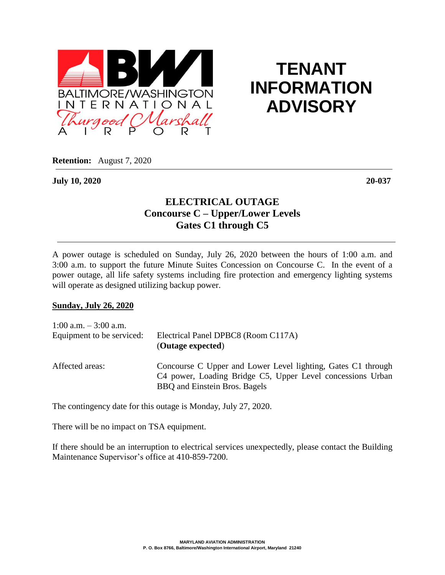

## **TENANT INFORMATION ADVISORY**

**Retention:** August 7, 2020

**July 10, 2020 20-037**

## **ELECTRICAL OUTAGE Concourse C – Upper/Lower Levels Gates C1 through C5**

A power outage is scheduled on Sunday, July 26, 2020 between the hours of 1:00 a.m. and 3:00 a.m. to support the future Minute Suites Concession on Concourse C. In the event of a power outage, all life safety systems including fire protection and emergency lighting systems will operate as designed utilizing backup power.

## **Sunday, July 26, 2020**

| 1:00 a.m. $-3:00$ a.m.    | Electrical Panel DPBC8 (Room C117A)                                                                                                                         |
|---------------------------|-------------------------------------------------------------------------------------------------------------------------------------------------------------|
| Equipment to be serviced: | (Outage expected)                                                                                                                                           |
| Affected areas:           | Concourse C Upper and Lower Level lighting, Gates C1 through<br>C4 power, Loading Bridge C5, Upper Level concessions Urban<br>BBQ and Einstein Bros. Bagels |

The contingency date for this outage is Monday, July 27, 2020.

There will be no impact on TSA equipment.

If there should be an interruption to electrical services unexpectedly, please contact the Building Maintenance Supervisor's office at 410-859-7200.